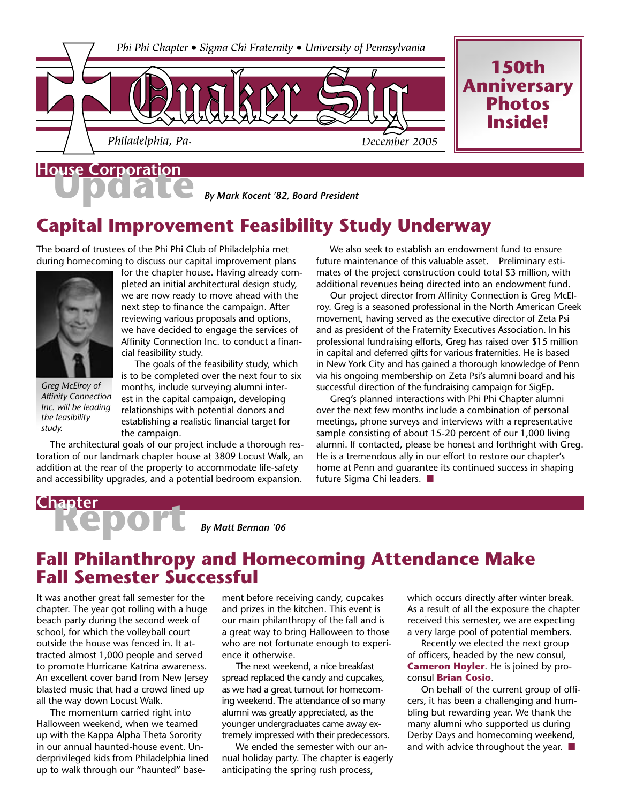

## **House Corporation**

*By Mark Kocent '82, Board President*

## **Capital Improvement Feasibility Study Underway**

The board of trustees of the Phi Phi Club of Philadelphia met during homecoming to discuss our capital improvement plans



*Greg McElroy of Affinity Connection Inc. will be leading the feasibility study.*

for the chapter house. Having already completed an initial architectural design study, we are now ready to move ahead with the next step to finance the campaign. After reviewing various proposals and options, we have decided to engage the services of Affinity Connection Inc. to conduct a financial feasibility study.

 The goals of the feasibility study, which is to be completed over the next four to six months, include surveying alumni interest in the capital campaign, developing relationships with potential donors and establishing a realistic financial target for the campaign.

 The architectural goals of our project include a thorough restoration of our landmark chapter house at 3809 Locust Walk, an addition at the rear of the property to accommodate life-safety and accessibility upgrades, and a potential bedroom expansion.

 We also seek to establish an endowment fund to ensure future maintenance of this valuable asset. Preliminary estimates of the project construction could total \$3 million, with additional revenues being directed into an endowment fund.

 Our project director from Affinity Connection is Greg McElroy. Greg is a seasoned professional in the North American Greek movement, having served as the executive director of Zeta Psi and as president of the Fraternity Executives Association. In his professional fundraising efforts, Greg has raised over \$15 million in capital and deferred gifts for various fraternities. He is based in New York City and has gained a thorough knowledge of Penn via his ongoing membership on Zeta Psi's alumni board and his successful direction of the fundraising campaign for SigEp.

 Greg's planned interactions with Phi Phi Chapter alumni over the next few months include a combination of personal meetings, phone surveys and interviews with a representative sample consisting of about 15-20 percent of our 1,000 living alumni. If contacted, please be honest and forthright with Greg. He is a tremendous ally in our effort to restore our chapter's home at Penn and guarantee its continued success in shaping future Sigma Chi leaders. ■

# **Report Chapter**

*By Matt Berman '06*

### **Fall Philanthropy and Homecoming Attendance Make Fall Semester Successful**

It was another great fall semester for the chapter. The year got rolling with a huge beach party during the second week of school, for which the volleyball court outside the house was fenced in. It attracted almost 1,000 people and served to promote Hurricane Katrina awareness. An excellent cover band from New Jersey blasted music that had a crowd lined up all the way down Locust Walk.

 The momentum carried right into Halloween weekend, when we teamed up with the Kappa Alpha Theta Sorority in our annual haunted-house event. Underprivileged kids from Philadelphia lined up to walk through our "haunted" base-

ment before receiving candy, cupcakes and prizes in the kitchen. This event is our main philanthropy of the fall and is a great way to bring Halloween to those who are not fortunate enough to experience it otherwise.

 The next weekend, a nice breakfast spread replaced the candy and cupcakes, as we had a great turnout for homecoming weekend. The attendance of so many alumni was greatly appreciated, as the younger undergraduates came away extremely impressed with their predecessors.

 We ended the semester with our annual holiday party. The chapter is eagerly anticipating the spring rush process,

which occurs directly after winter break. As a result of all the exposure the chapter received this semester, we are expecting a very large pool of potential members.

 Recently we elected the next group of officers, headed by the new consul, **Cameron Hoyler**. He is joined by proconsul **Brian Cosio**.

 On behalf of the current group of officers, it has been a challenging and humbling but rewarding year. We thank the many alumni who supported us during Derby Days and homecoming weekend, and with advice throughout the year.  $\blacksquare$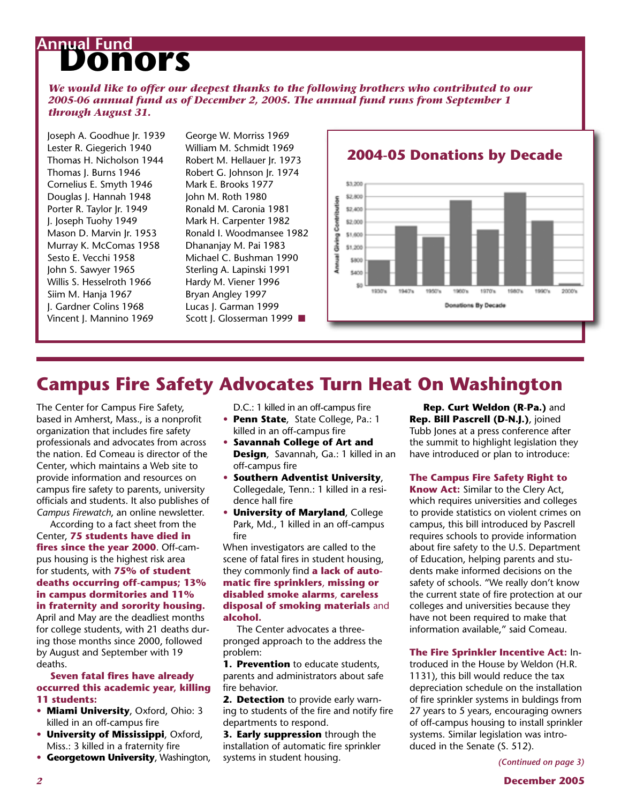## **Annual Fund<br>
DONOYS**

*We would like to offer our deepest thanks to the following brothers who contributed to our 2005-06 annual fund as of December 2, 2005. The annual fund runs from September 1 through August 31.*

Joseph A. Goodhue Jr. 1939 Lester R. Giegerich 1940 Thomas H. Nicholson 1944 Thomas J. Burns 1946 Cornelius E. Smyth 1946 Douglas J. Hannah 1948 Porter R. Taylor Jr. 1949 J. Joseph Tuohy 1949 Mason D. Marvin Jr. 1953 Murray K. McComas 1958 Sesto E. Vecchi 1958 John S. Sawyer 1965 Willis S. Hesselroth 1966 Siim M. Hanja 1967 J. Gardner Colins 1968 Vincent J. Mannino 1969

George W. Morriss 1969 William M. Schmidt 1969 Robert M. Hellauer Jr. 1973 Robert G. Johnson Jr. 1974 Mark E. Brooks 1977 John M. Roth 1980 Ronald M. Caronia 1981 Mark H. Carpenter 1982 Ronald I. Woodmansee 1982 Dhananjay M. Pai 1983 Michael C. Bushman 1990 Sterling A. Lapinski 1991 Hardy M. Viener 1996 Bryan Angley 1997 Lucas J. Garman 1999 Scott J. Glosserman 1999 ■



### **Campus Fire Safety Advocates Turn Heat On Washington**

The Center for Campus Fire Safety, based in Amherst, Mass., is a nonprofit organization that includes fire safety professionals and advocates from across the nation. Ed Comeau is director of the Center, which maintains a Web site to provide information and resources on campus fire safety to parents, university officials and students. It also publishes of *Campus Firewatch*, an online newsletter.

 According to a fact sheet from the Center, **75 students have died in fires since the year 2000**. Off-campus housing is the highest risk area for students, with **75% of student deaths occurring off-campus; 13% in campus dormitories and 11% in fraternity and sorority housing.**

April and May are the deadliest months for college students, with 21 deaths during those months since 2000, followed by August and September with 19 deaths.

#### **Seven fatal fires have already occurred this academic year, killing 11 students:**

- **Miami University**, Oxford, Ohio: 3 killed in an off-campus fire
- **University of Mississippi**, Oxford, Miss.: 3 killed in a fraternity fire
- **Georgetown University**, Washington,

D.C.: 1 killed in an off-campus fire

- **Penn State**, State College, Pa.: 1 killed in an off-campus fire
- **Savannah College of Art and Design**, Savannah, Ga.: 1 killed in an off-campus fire
- **Southern Adventist University**, Collegedale, Tenn.: 1 killed in a residence hall fire
- **University of Maryland**, College Park, Md., 1 killed in an off-campus fire

When investigators are called to the scene of fatal fires in student housing, they commonly find **a lack of automatic fire sprinklers**, **missing or disabled smoke alarms**, **careless disposal of smoking materials** and **alcohol.**

 The Center advocates a threepronged approach to the address the problem:

**1. Prevention** to educate students, parents and administrators about safe fire behavior.

**2. Detection** to provide early warning to students of the fire and notify fire departments to respond.

**3. Early suppression** through the installation of automatic fire sprinkler systems in student housing.

 **Rep. Curt Weldon (R-Pa.)** and **Rep. Bill Pascrell (D-N.J.)**, joined Tubb Jones at a press conference after the summit to highlight legislation they have introduced or plan to introduce:

#### **The Campus Fire Safety Right to**

**Know Act:** Similar to the Clery Act, which requires universities and colleges to provide statistics on violent crimes on campus, this bill introduced by Pascrell requires schools to provide information about fire safety to the U.S. Department of Education, helping parents and students make informed decisions on the safety of schools. "We really don't know the current state of fire protection at our colleges and universities because they have not been required to make that information available," said Comeau.

#### **The Fire Sprinkler Incentive Act:** In-

troduced in the House by Weldon (H.R. 1131), this bill would reduce the tax depreciation schedule on the installation of fire sprinkler systems in buldings from 27 years to 5 years, encouraging owners of off-campus housing to install sprinkler systems. Similar legislation was introduced in the Senate (S. 512).

*(Continued on page 3)*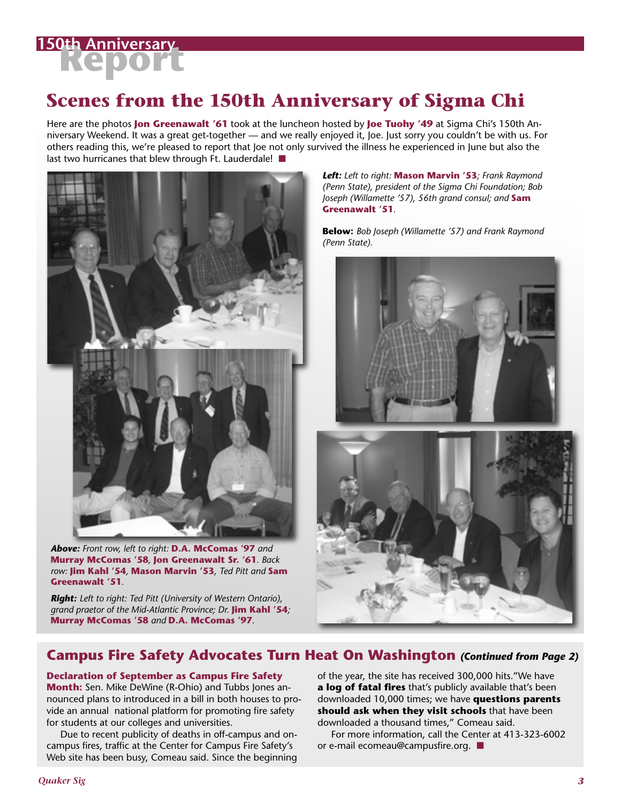

## **Scenes from the 150th Anniversary of Sigma Chi**

Here are the photos **Jon Greenawalt '61** took at the luncheon hosted by **Joe Tuohy '49** at Sigma Chi's 150th Anniversary Weekend. It was a great get-together — and we really enjoyed it, Joe. Just sorry you couldn't be with us. For others reading this, we're pleased to report that Joe not only survived the illness he experienced in June but also the last two hurricanes that blew through Ft. Lauderdale! ■



*Above: Front row, left to right:* **D.A. McComas '97** *and*  **Murray McComas '58***,* **Jon Greenawalt Sr. '61***. Back row:* **Jim Kahl '54***,* **Mason Marvin '53***, Ted Pitt and* **Sam Greenawalt '51***.*

*Right: Left to right: Ted Pitt (University of Western Ontario), grand praetor of the Mid-Atlantic Province; Dr.* **Jim Kahl '54***;*  **Murray McComas '58** *and* **D.A. McComas '97***.*

*Left: Left to right:* **Mason Marvin '53***; Frank Raymond (Penn State), president of the Sigma Chi Foundation; Bob Joseph (Willamette '57), 56th grand consul; and* **Sam Greenawalt '51***.*

**Below:** *Bob Joseph (Willamette '57) and Frank Raymond (Penn State).*



### **Campus Fire Safety Advocates Turn Heat On Washington** *(Continued from Page 2)*

#### **Declaration of September as Campus Fire Safety**

**Month:** Sen. Mike DeWine (R-Ohio) and Tubbs Jones announced plans to introduced in a bill in both houses to provide an annual national platform for promoting fire safety for students at our colleges and universities.

 Due to recent publicity of deaths in off-campus and oncampus fires, traffic at the Center for Campus Fire Safety's Web site has been busy, Comeau said. Since the beginning of the year, the site has received 300,000 hits."We have **a log of fatal fires** that's publicly available that's been downloaded 10,000 times; we have **questions parents should ask when they visit schools** that have been downloaded a thousand times," Comeau said.

 For more information, call the Center at 413-323-6002 or e-mail ecomeau@campusfire.org. ■